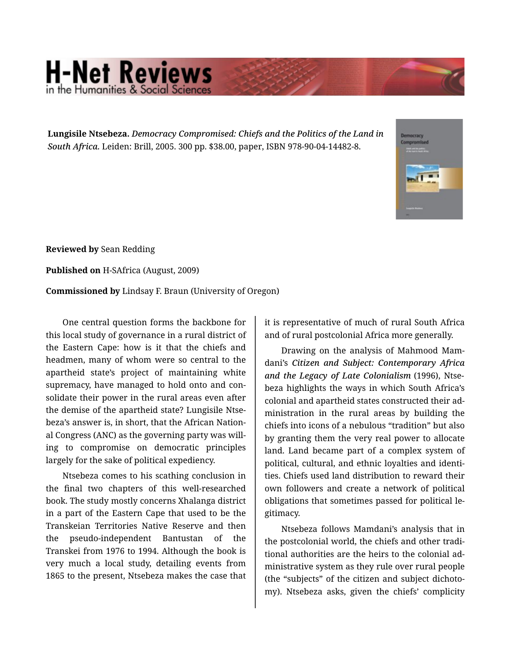## **H-Net Reviews**

**Lungisile Ntsebeza.** *Democracy Compromised: Chiefs and the Politics of the Land in South Africa.* Leiden: Brill, 2005. 300 pp. \$38.00, paper, ISBN 978-90-04-14482-8.



**Reviewed by** Sean Redding

**Published on** H-SAfrica (August, 2009)

**Commissioned by** Lindsay F. Braun (University of Oregon)

One central question forms the backbone for this local study of governance in a rural district of the Eastern Cape: how is it that the chiefs and headmen, many of whom were so central to the apartheid state's project of maintaining white supremacy, have managed to hold onto and con‐ solidate their power in the rural areas even after the demise of the apartheid state? Lungisile Ntse‐ beza's answer is, in short, that the African Nation‐ al Congress (ANC) as the governing party was will‐ ing to compromise on democratic principles largely for the sake of political expediency.

Ntsebeza comes to his scathing conclusion in the final two chapters of this well-researched book. The study mostly concerns Xhalanga district in a part of the Eastern Cape that used to be the Transkeian Territories Native Reserve and then the pseudo-independent Bantustan of the Transkei from 1976 to 1994. Although the book is very much a local study, detailing events from 1865 to the present, Ntsebeza makes the case that

it is representative of much of rural South Africa and of rural postcolonial Africa more generally.

Drawing on the analysis of Mahmood Mam‐ dani's *Citizen and Subject: Contemporary Africa and the Legacy of Late Colonialism* (1996), Ntse‐ beza highlights the ways in which South Africa's colonial and apartheid states constructed their ad‐ ministration in the rural areas by building the chiefs into icons of a nebulous "tradition" but also by granting them the very real power to allocate land. Land became part of a complex system of political, cultural, and ethnic loyalties and identi‐ ties. Chiefs used land distribution to reward their own followers and create a network of political obligations that sometimes passed for political le‐ gitimacy.

Ntsebeza follows Mamdani's analysis that in the postcolonial world, the chiefs and other tradi‐ tional authorities are the heirs to the colonial ad‐ ministrative system as they rule over rural people (the "subjects" of the citizen and subject dichoto‐ my). Ntsebeza asks, given the chiefs' complicity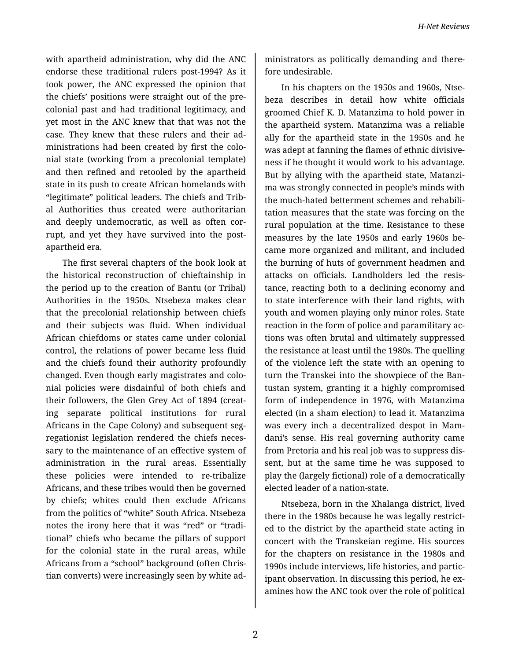with apartheid administration, why did the ANC endorse these traditional rulers post-1994? As it took power, the ANC expressed the opinion that the chiefs' positions were straight out of the pre‐ colonial past and had traditional legitimacy, and yet most in the ANC knew that that was not the case. They knew that these rulers and their ad‐ ministrations had been created by first the colo‐ nial state (working from a precolonial template) and then refined and retooled by the apartheid state in its push to create African homelands with "legitimate" political leaders. The chiefs and Trib‐ al Authorities thus created were authoritarian and deeply undemocratic, as well as often cor‐ rupt, and yet they have survived into the postapartheid era.

The first several chapters of the book look at the historical reconstruction of chieftainship in the period up to the creation of Bantu (or Tribal) Authorities in the 1950s. Ntsebeza makes clear that the precolonial relationship between chiefs and their subjects was fluid. When individual African chiefdoms or states came under colonial control, the relations of power became less fluid and the chiefs found their authority profoundly changed. Even though early magistrates and colo‐ nial policies were disdainful of both chiefs and their followers, the Glen Grey Act of 1894 (creat‐ ing separate political institutions for rural Africans in the Cape Colony) and subsequent seg‐ regationist legislation rendered the chiefs neces‐ sary to the maintenance of an effective system of administration in the rural areas. Essentially these policies were intended to re-tribalize Africans, and these tribes would then be governed by chiefs; whites could then exclude Africans from the politics of "white" South Africa. Ntsebeza notes the irony here that it was "red" or "tradi‐ tional" chiefs who became the pillars of support for the colonial state in the rural areas, while Africans from a "school" background (often Chris‐ tian converts) were increasingly seen by white ad‐ ministrators as politically demanding and there‐ fore undesirable.

In his chapters on the 1950s and 1960s, Ntse‐ beza describes in detail how white officials groomed Chief K. D. Matanzima to hold power in the apartheid system. Matanzima was a reliable ally for the apartheid state in the 1950s and he was adept at fanning the flames of ethnic divisive‐ ness if he thought it would work to his advantage. But by allying with the apartheid state, Matanzi‐ ma was strongly connected in people's minds with the much-hated betterment schemes and rehabili‐ tation measures that the state was forcing on the rural population at the time. Resistance to these measures by the late 1950s and early 1960s be‐ came more organized and militant, and included the burning of huts of government headmen and attacks on officials. Landholders led the resis‐ tance, reacting both to a declining economy and to state interference with their land rights, with youth and women playing only minor roles. State reaction in the form of police and paramilitary ac‐ tions was often brutal and ultimately suppressed the resistance at least until the 1980s. The quelling of the violence left the state with an opening to turn the Transkei into the showpiece of the Ban‐ tustan system, granting it a highly compromised form of independence in 1976, with Matanzima elected (in a sham election) to lead it. Matanzima was every inch a decentralized despot in Mam‐ dani's sense. His real governing authority came from Pretoria and his real job was to suppress dis‐ sent, but at the same time he was supposed to play the (largely fictional) role of a democratically elected leader of a nation-state.

Ntsebeza, born in the Xhalanga district, lived there in the 1980s because he was legally restrict‐ ed to the district by the apartheid state acting in concert with the Transkeian regime. His sources for the chapters on resistance in the 1980s and 1990s include interviews, life histories, and partic‐ ipant observation. In discussing this period, he examines how the ANC took over the role of political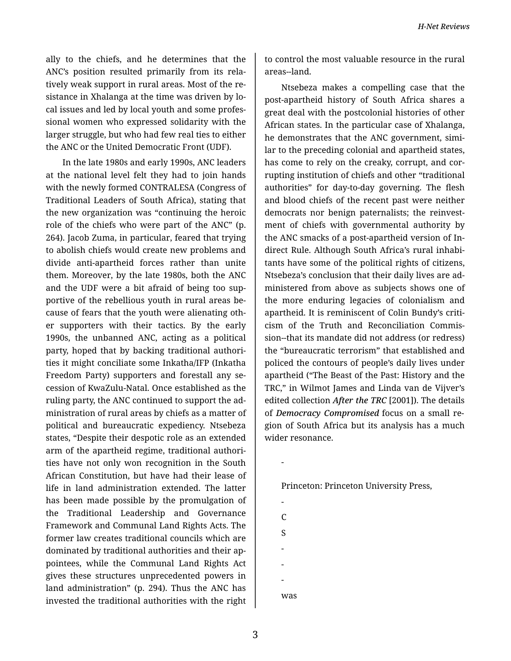ally to the chiefs, and he determines that the ANC's position resulted primarily from its rela‐ tively weak support in rural areas. Most of the re‐ sistance in Xhalanga at the time was driven by lo‐ cal issues and led by local youth and some profes‐ sional women who expressed solidarity with the larger struggle, but who had few real ties to either the ANC or the United Democratic Front (UDF).

In the late 1980s and early 1990s, ANC leaders at the national level felt they had to join hands with the newly formed CONTRALESA (Congress of Traditional Leaders of South Africa), stating that the new organization was "continuing the heroic role of the chiefs who were part of the ANC" (p. 264). Jacob Zuma, in particular, feared that trying to abolish chiefs would create new problems and divide anti-apartheid forces rather than unite them. Moreover, by the late 1980s, both the ANC and the UDF were a bit afraid of being too sup‐ portive of the rebellious youth in rural areas be‐ cause of fears that the youth were alienating oth‐ er supporters with their tactics. By the early 1990s, the unbanned ANC, acting as a political party, hoped that by backing traditional authori‐ ties it might conciliate some Inkatha/IFP (Inkatha Freedom Party) supporters and forestall any se‐ cession of KwaZulu-Natal. Once established as the ruling party, the ANC continued to support the ad‐ ministration of rural areas by chiefs as a matter of political and bureaucratic expediency. Ntsebeza states, "Despite their despotic role as an extended arm of the apartheid regime, traditional authori‐ ties have not only won recognition in the South African Constitution, but have had their lease of life in land administration extended. The latter has been made possible by the promulgation of the Traditional Leadership and Governance Framework and Communal Land Rights Acts. The former law creates traditional councils which are dominated by traditional authorities and their ap‐ pointees, while the Communal Land Rights Act gives these structures unprecedented powers in land administration" (p. 294). Thus the ANC has invested the traditional authorities with the right

to control the most valuable resource in the rural areas--land.

Ntsebeza makes a compelling case that the post-apartheid history of South Africa shares a great deal with the postcolonial histories of other African states. In the particular case of Xhalanga, he demonstrates that the ANC government, similar to the preceding colonial and apartheid states, has come to rely on the creaky, corrupt, and cor‐ rupting institution of chiefs and other "traditional authorities" for day-to-day governing. The flesh and blood chiefs of the recent past were neither democrats nor benign paternalists; the reinvest‐ ment of chiefs with governmental authority by the ANC smacks of a post-apartheid version of In‐ direct Rule. Although South Africa's rural inhabi‐ tants have some of the political rights of citizens, Ntsebeza's conclusion that their daily lives are ad‐ ministered from above as subjects shows one of the more enduring legacies of colonialism and apartheid. It is reminiscent of Colin Bundy's criti‐ cism of the Truth and Reconciliation Commis‐ sion--that its mandate did not address (or redress) the "bureaucratic terrorism" that established and policed the contours of people's daily lives under apartheid ("The Beast of the Past: History and the TRC," in Wilmot James and Linda van de Vijver's edited collection *After the TRC* [2001]). The details of *Democracy Compromised* focus on a small re‐ gion of South Africa but its analysis has a much wider resonance.

Princeton: Princeton University Press,

- C S - - was

-